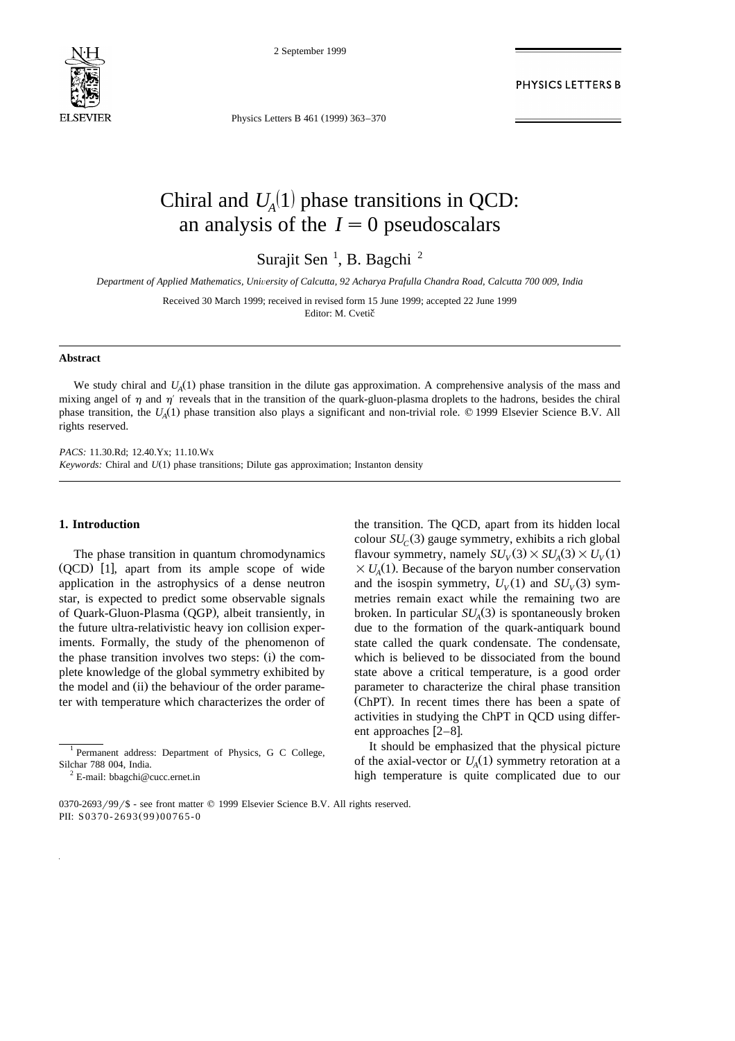

2 September 1999

PHYSICS LETTERS B

Physics Letters B 461 (1999) 363-370

# Chiral and  $U_4(1)$  phase transitions in QCD: an analysis of the  $I=0$  pseudoscalars

Surajit Sen<sup>1</sup>, B. Bagchi<sup>2</sup>

*Department of Applied Mathematics, Uni*Õ*ersity of Calcutta, 92 Acharya Prafulla Chandra Road, Calcutta 700 009, India*

Received 30 March 1999; received in revised form 15 June 1999; accepted 22 June 1999 Editor: M. Cvetič

#### **Abstract**

We study chiral and  $U_A(1)$  phase transition in the dilute gas approximation. A comprehensive analysis of the mass and mixing angel of  $\eta$  and  $\eta'$  reveals that in the transition of the quark-gluon-plasma droplets to the hadrons, besides the chiral phase transition, the  $U_4(1)$  phase transition also plays a significant and non-trivial role.  $\odot$  1999 Elsevier Science B.V. All rights reserved.

*PACS:* 11.30.Rd; 12.40.Yx; 11.10.Wx *Keywords:* Chiral and  $U(1)$  phase transitions; Dilute gas approximation; Instanton density

# **1. Introduction**

The phase transition in quantum chromodynamics  $(OCD)$  [1], apart from its ample scope of wide application in the astrophysics of a dense neutron star, is expected to predict some observable signals of Quark-Gluon-Plasma (QGP), albeit transiently, in the future ultra-relativistic heavy ion collision experiments. Formally, the study of the phenomenon of the phase transition involves two steps: (i) the complete knowledge of the global symmetry exhibited by the model and (ii) the behaviour of the order parameter with temperature which characterizes the order of

the transition. The QCD, apart from its hidden local colour  $SU_c(3)$  gauge symmetry, exhibits a rich global flavour symmetry, namely  $SU_V(3) \times SU_A(3) \times U_V(1)$  $\times U_A(1)$ . Because of the baryon number conservation and the isospin symmetry,  $U_V(1)$  and  $SU_V(3)$  symmetries remain exact while the remaining two are broken. In particular  $SU_A(3)$  is spontaneously broken due to the formation of the quark-antiquark bound state called the quark condensate. The condensate, which is believed to be dissociated from the bound state above a critical temperature, is a good order parameter to characterize the chiral phase transition (ChPT). In recent times there has been a spate of activities in studying the ChPT in QCD using different approaches  $[2-8]$ .

It should be emphasized that the physical picture of the axial-vector or  $U_A(1)$  symmetry retoration at a high temperature is quite complicated due to our

<sup>1</sup> Permanent address: Department of Physics, G C College, Silchar 788 004, India.

 $2$  E-mail: bbagchi@cucc.ernet.in

<sup>0370-2693/99/\$ -</sup> see front matter © 1999 Elsevier Science B.V. All rights reserved. PII: S0370-2693(99)00765-0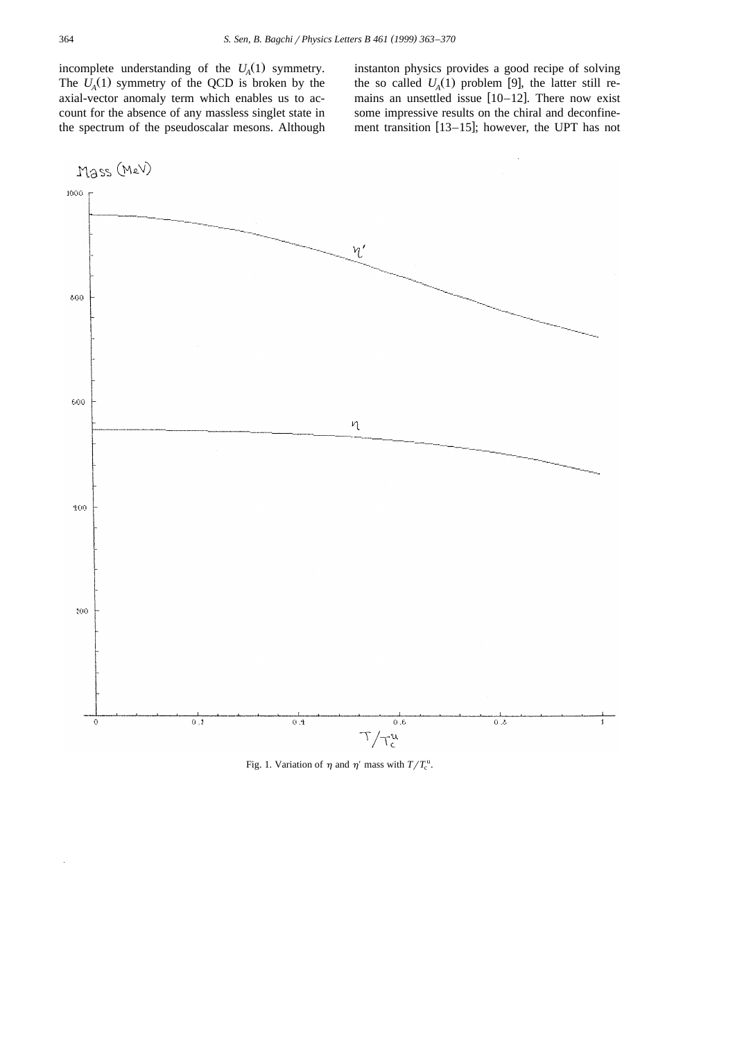incomplete understanding of the  $U_A(1)$  symmetry. The  $U_A(1)$  symmetry of the QCD is broken by the axial-vector anomaly term which enables us to account for the absence of any massless singlet state in the spectrum of the pseudoscalar mesons. Although instanton physics provides a good recipe of solving the so called  $U_A(1)$  problem [9], the latter still remains an unsettled issue  $[10-12]$ . There now exist some impressive results on the chiral and deconfinement transition  $[13-15]$ ; however, the UPT has not



Fig. 1. Variation of  $\eta$  and  $\eta'$  mass with  $T/T_c^u$ .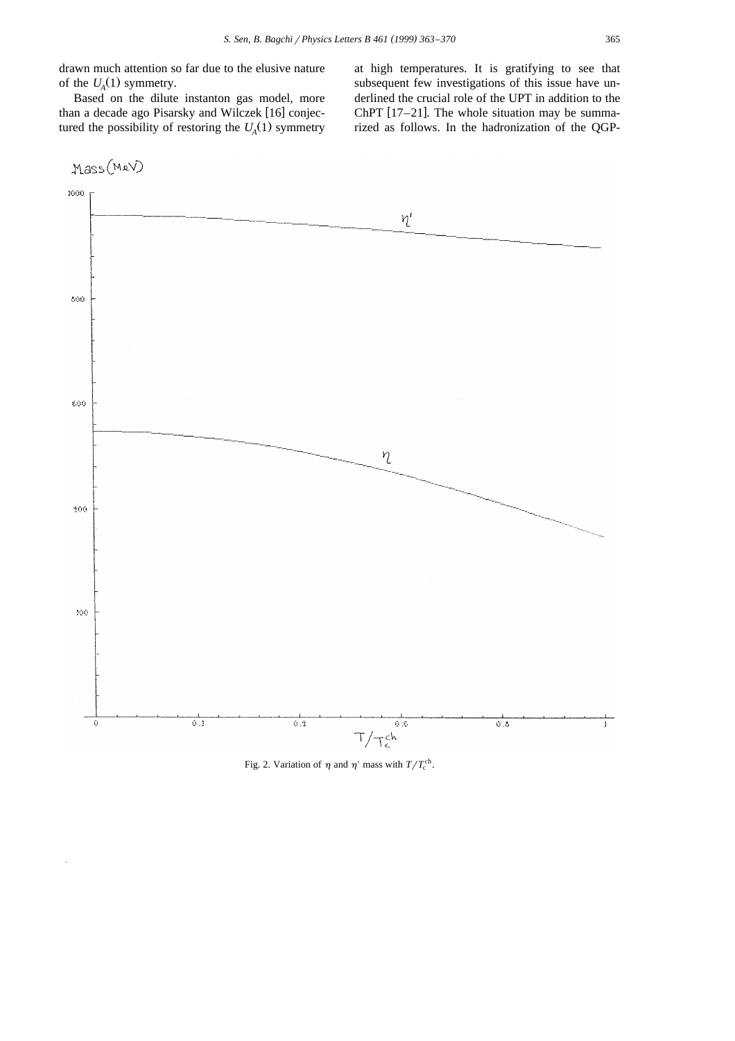drawn much attention so far due to the elusive nature of the  $U_A(1)$  symmetry.

Based on the dilute instanton gas model, more than a decade ago Pisarsky and Wilczek [16] conjectured the possibility of restoring the  $U_A(1)$  symmetry at high temperatures. It is gratifying to see that subsequent few investigations of this issue have underlined the crucial role of the UPT in addition to the ChPT  $[17–21]$ . The whole situation may be summarized as follows. In the hadronization of the QGP-



Fig. 2. Variation of  $\eta$  and  $\eta'$  mass with  $T/T_c^{\text{ch}}$ .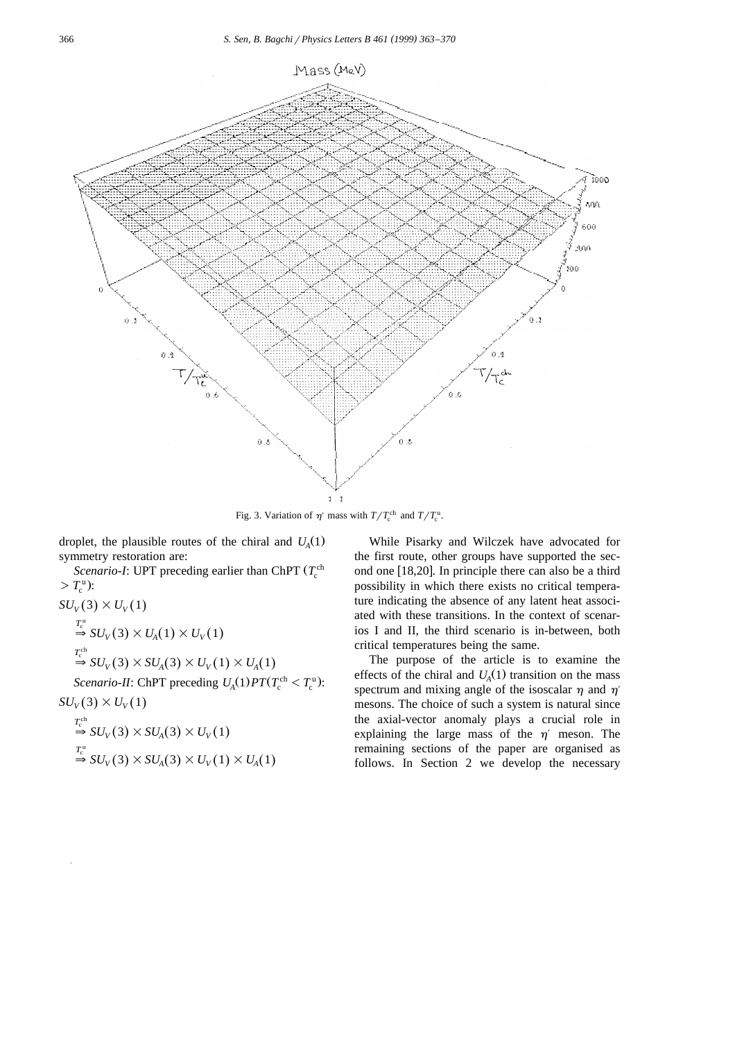

Fig. 3. Variation of  $\eta'$  mass with  $T/T_c^{\text{ch}}$  and  $T/T_c^{\text{u}}$ .

droplet, the plausible routes of the chiral and  $U_A(1)$ symmetry restoration are:

Scenario-I: UPT preceding earlier than ChPT  $(T_c^{ch})$  $> T_c^{\mathrm{u}}$ :

$$
SU_V(3) \times U_V(1)
$$
  
\n
$$
\stackrel{T_c^u}{\Rightarrow} SU_V(3) \times U_A(1) \times U_V(1)
$$
  
\n
$$
\stackrel{T_c^{ch}}{\Rightarrow} SU_V(3) \times SU_A(3) \times U_V(1) \times U_A(1)
$$
  
\n*Scenario-II*: ChPT preceding  $U_A(1)PT(T_c^{ch} < T_c^u)$ :  
\n
$$
SU_V(3) \times U_V(1)
$$
  
\n
$$
\stackrel{T_c^{ch}}{\Rightarrow} SU_V(3) \times SU_A(3) \times U_V(1)
$$

$$
\stackrel{T_c^{\mathrm{u}}}{\Rightarrow} SU_V(3) \times SU_A(3) \times U_V(1) \times U_A(1)
$$

While Pisarky and Wilczek have advocated for the first route, other groups have supported the second one  $[18,20]$ . In principle there can also be a third possibility in which there exists no critical temperature indicating the absence of any latent heat associated with these transitions. In the context of scenarios I and II, the third scenario is in-between, both critical temperatures being the same.

The purpose of the article is to examine the effects of the chiral and  $U_A(1)$  transition on the mass spectrum and mixing angle of the isoscalar  $\eta$  and  $\eta'$ mesons. The choice of such a system is natural since the axial-vector anomaly plays a crucial role in explaining the large mass of the  $\eta'$  meson. The remaining sections of the paper are organised as follows. In Section 2 we develop the necessary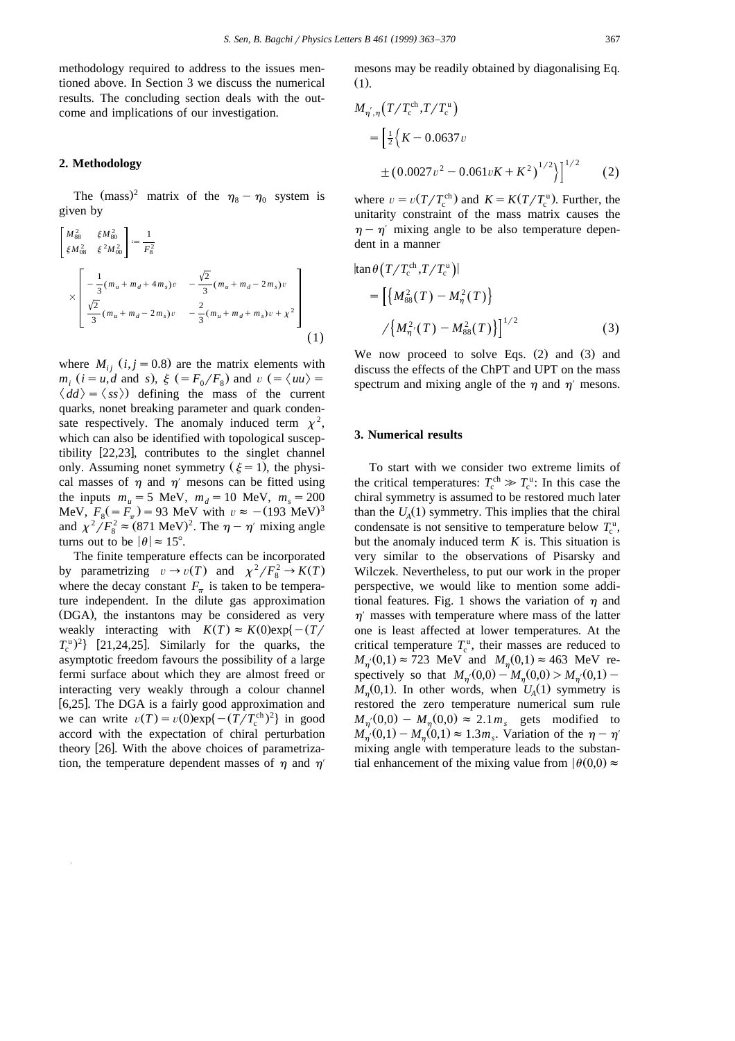methodology required to address to the issues mentioned above. In Section 3 we discuss the numerical results. The concluding section deals with the outcome and implications of our investigation.

#### **2. Methodology**

The (mass)<sup>2</sup> matrix of the  $\eta_8 - \eta_0$  system is given by

$$
\begin{bmatrix}\nM_{88}^2 & \xi M_{80}^2 \\
\xi M_{08}^2 & \xi^2 M_{00}^2\n\end{bmatrix} := \frac{1}{F_8^2} \\
\times \begin{bmatrix}\n-\frac{1}{3}(m_u + m_d + 4m_s)v & -\frac{\sqrt{2}}{3}(m_u + m_d - 2m_s)v \\
\frac{\sqrt{2}}{3}(m_u + m_d - 2m_s)v & -\frac{2}{3}(m_u + m_d + m_s)v + \chi^2\n\end{bmatrix}
$$
\n(1)

where  $M_{ii}$   $(i, j = 0.8)$  are the matrix elements with  $m_i$  (*i* = *u*,*d* and *s*),  $\xi$  (=  $F_0/F_8$ ) and  $v$  (=  $\langle uu \rangle$  =  $\langle dd \rangle = \langle ss \rangle$  defining the mass of the current quarks, nonet breaking parameter and quark condensate respectively. The anomaly induced term  $\chi^2$ , which can also be identified with topological susceptibility  $[22,23]$ , contributes to the singlet channel only. Assuming nonet symmetry  $(\xi = 1)$ , the physical masses of  $\eta$  and  $\eta'$  mesons can be fitted using the inputs  $m_u = 5$  MeV,  $m_d = 10$  MeV,  $m_s = 200$ MeV,  $F_8(=F_\pi) = 93$  MeV with  $v \approx -(193 \text{ MeV})^3$ and  $\chi^2/F_8^2 \approx (871 \text{ MeV})^2$ . The  $\eta - \eta'$  mixing angle turns out to be  $|\theta| \approx 15^{\circ}$ .

The finite temperature effects can be incorporated by parametrizing  $v \to v(T)$  and  $\chi^2/F_8^2 \to K(T)$ where the decay constant  $F_{\pi}$  is taken to be temperature independent. In the dilute gas approximation (DGA), the instantons may be considered as very weakly interacting with  $K(T) \approx K(0) \exp\{-\frac{T}{\sqrt{2\pi}}\}$  $T_c^{\text{u}}$ <sup>2</sup>} [21,24,25]. Similarly for the quarks, the asymptotic freedom favours the possibility of a large fermi surface about which they are almost freed or interacting very weakly through a colour channel [6,25]. The DGA is a fairly good approximation and we can write  $v(T) = v(0) \exp\{-\frac{(T/T_c^{\text{ch}})^2}{2}\}$  in good accord with the expectation of chiral perturbation theory  $[26]$ . With the above choices of parametrization, the temperature dependent masses of  $\eta$  and  $\eta'$ 

mesons may be readily obtained by diagonalising Eq.  $(1)$ .

$$
M_{\eta',\eta}(T/T_c^{\text{ch}},T/T_c^{\text{u}})
$$
  
=  $\left[\frac{1}{2}\left\{K - 0.0637v\right.\right.$   
 $\pm (0.0027v^2 - 0.061vK + K^2)^{1/2}\right\}^{1/2}$  (2)

where  $v = v(T/T_c^{\text{ch}})$  and  $K = K(T/T_c^{\text{u}})$ . Further, the unitarity constraint of the mass matrix causes the  $\eta - \eta'$  mixing angle to be also temperature dependent in a manner

$$
|\tan \theta (T/T_c^{\text{ch}}, T/T_c^{\text{u}})|
$$
  
= 
$$
[\{M_{88}^2(T) - M_{\eta}^2(T)\}
$$
  

$$
/ \{M_{\eta'}^2(T) - M_{88}^2(T)\}]^{1/2}
$$
 (3)

We now proceed to solve Eqs.  $(2)$  and  $(3)$  and discuss the effects of the ChPT and UPT on the mass spectrum and mixing angle of the  $\eta$  and  $\eta'$  mesons.

### **3. Numerical results**

To start with we consider two extreme limits of the critical temperatures:  $T_c^{\text{ch}} \gg T_c^{\text{u}}$ : In this case the chiral symmetry is assumed to be restored much later than the  $U_A(1)$  symmetry. This implies that the chiral condensate is not sensitive to temperature below  $T_c^{\text{u}}$ , but the anomaly induced term *K* is. This situation is very similar to the observations of Pisarsky and Wilczek. Nevertheless, to put our work in the proper perspective, we would like to mention some additional features. Fig. 1 shows the variation of  $\eta$  and  $\eta'$  masses with temperature where mass of the latter one is least affected at lower temperatures. At the critical temperature  $T_c^{\text{u}}$ , their masses are reduced to  $M_{n'}(0,1) \approx 723$  MeV and  $M_{n}(0,1) \approx 463$  MeV respectively so that  $M_{\eta}(0,0) - M_{\eta}(0,0) > M_{\eta}(0,1) M_n(0,1)$ . In other words, when  $U_A(1)$  symmetry is restored the zero temperature numerical sum rule  $M_{\eta}(0,0) - M_{\eta}(0,0) \approx 2.1 m_s$  gets modified to  $M_{\eta}(0,1) - M_{\eta}(0,1) \approx 1.3 m_s$ . Variation of the  $\eta - \eta'$ mixing angle with temperature leads to the substantial enhancement of the mixing value from  $|\theta(0,0) \approx$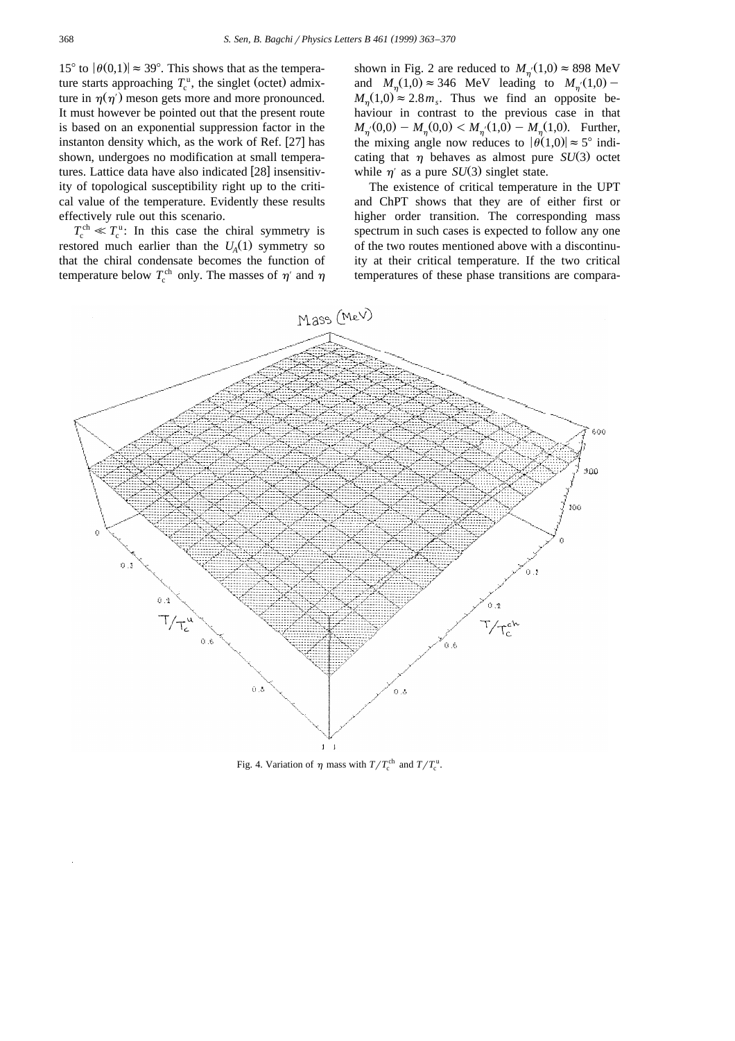15° to  $|\theta(0,1)| \approx 39$ °. This shows that as the temperature starts approaching  $T_c^{\text{u}}$ , the singlet (octet) admixture in  $\eta(\eta)$  meson gets more and more pronounced. It must however be pointed out that the present route is based on an exponential suppression factor in the instanton density which, as the work of Ref.  $[27]$  has shown, undergoes no modification at small temperatures. Lattice data have also indicated [28] insensitivity of topological susceptibility right up to the critical value of the temperature. Evidently these results effectively rule out this scenario.

 $T_c^{\text{ch}} \ll T_c^{\text{u}}$ : In this case the chiral symmetry is restored much earlier than the  $U_A(1)$  symmetry so that the chiral condensate becomes the function of temperature below  $T_c^{\text{ch}}$  only. The masses of  $\eta'$  and  $\eta$ 

shown in Fig. 2 are reduced to  $M_{\eta}$ <sup>(1,0)</sup>  $\approx$  898 MeV and  $M_{\eta}(1,0) \approx 346$  MeV leading to  $M_{\eta}(1,0)$  –  $M_n(1,0) \approx 2.8 m_s$ . Thus we find an opposite behaviour in contrast to the previous case in that  $M_{n'}(0,0) - M_{n}(0,0) < M_{n'}(1,0) - M_{n}(1,0)$ . Further, the mixing angle now reduces to  $|\theta(1,0)| \approx 5^{\circ}$  indicating that  $\eta$  behaves as almost pure *SU*(3) octet while  $\eta'$  as a pure *SU*(3) singlet state.

The existence of critical temperature in the UPT and ChPT shows that they are of either first or higher order transition. The corresponding mass spectrum in such cases is expected to follow any one of the two routes mentioned above with a discontinuity at their critical temperature. If the two critical temperatures of these phase transitions are compara-



Fig. 4. Variation of  $\eta$  mass with  $T/T_c^{\text{ch}}$  and  $T/T_c^{\text{u}}$ .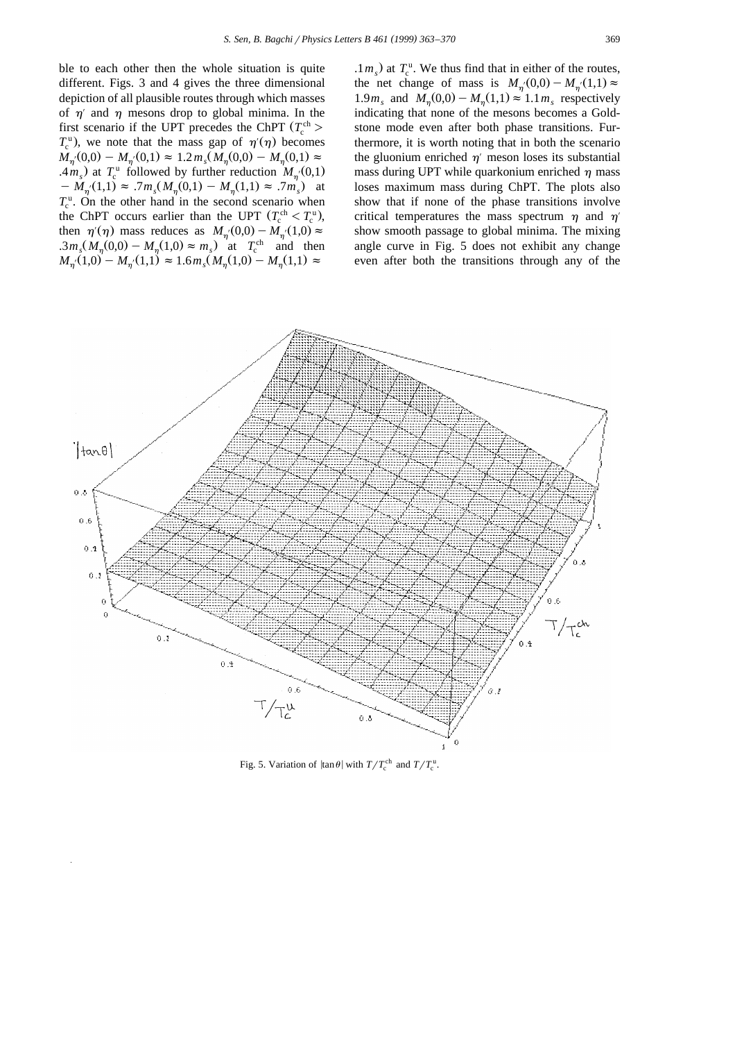ble to each other then the whole situation is quite different. Figs. 3 and 4 gives the three dimensional depiction of all plausible routes through which masses of  $\eta'$  and  $\eta$  mesons drop to global minima. In the first scenario if the UPT precedes the ChPT  $(T_c^{\text{ch}} >$  $T_c^{\rm u}$ ), we note that the mass gap of  $\eta'(\eta)$  becomes  $M_{\eta}(0,0) - M_{\eta}(0,1) \approx 1.2 m_s(M_{\eta}(0,0) - M_{\eta}(0,1) \approx$  $(4m_s)$  at  $T_c^u$  followed by further reduction  $M_{\eta'}(0,1)$  $M_{n'}(1,1) \approx 7m_s(M_{n}(0,1) - M_{n}(1,1) \approx 7m_s$  at  $T_c^{\rm u}$ . On the other hand in the second scenario when the ChPT occurs earlier than the UPT  $(T_c^{\text{ch}} < T_c^{\text{u}})$ , then  $\eta'(\eta)$  mass reduces as  $M_{\eta'}(0,0) - M_{\eta'}(1,0) \approx$  $\therefore 3m_s(M_\eta(0,0) - M_\eta(1,0) \approx m_s)$  at  $T_c^{\text{ch}}$  and then  $M_{\eta}(1,0) - M_{\eta}(1,1) \approx 1.6 m_s(M_{\eta}(1,0) - M_{\eta}(1,1)) \approx$ 

 $1 m<sub>s</sub>$ ) at  $T<sub>c</sub><sup>u</sup>$ . We thus find that in either of the routes, the net change of mass is  $M_{\eta}(0,0) - M_{\eta}(1,1) \approx$ 1.9 $m_s$  and  $M_\eta(0,0) - M_\eta(1,1) \approx 1.1 m_s$  respectively indicating that none of the mesons becomes a Goldstone mode even after both phase transitions. Furthermore, it is worth noting that in both the scenario the gluonium enriched  $\eta'$  meson loses its substantial mass during UPT while quarkonium enriched  $\eta$  mass loses maximum mass during ChPT. The plots also show that if none of the phase transitions involve critical temperatures the mass spectrum  $\eta$  and  $\eta'$ show smooth passage to global minima. The mixing angle curve in Fig. 5 does not exhibit any change even after both the transitions through any of the



Fig. 5. Variation of  $|\tan \theta|$  with  $T/T_c^{\text{ch}}$  and  $T/T_c^{\text{u}}$ .